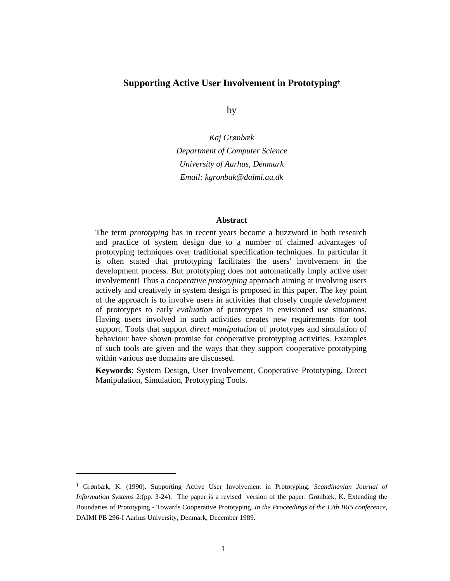#### **Supporting Active User Involvement in Prototyping†**

by

*Kaj Grønbæk Department of Computer Science University of Aarhus, Denmark Email: kgronbak@daimi.au.dk* 

#### **Abstract**

The term *prototyping* has in recent years become a buzzword in both research and practice of system design due to a number of claimed advantages of prototyping techniques over traditional specification techniques. In particular it is often stated that prototyping facilitates the users' involvement in the development process. But prototyping does not automatically imply active user involvement! Thus a *cooperative prototyping* approach aiming at involving users actively and creatively in system design is proposed in this paper. The key point of the approach is to involve users in activities that closely couple *development* of prototypes to early *evaluation* of prototypes in envisioned use situations. Having users involved in such activities creates new requirements for tool support. Tools that support *direct manipulation* of prototypes and simulation of behaviour have shown promise for cooperative prototyping activities. Examples of such tools are given and the ways that they support cooperative prototyping within various use domains are discussed.

**Keywords**: System Design, User Involvement, Cooperative Prototyping, Direct Manipulation, Simulation, Prototyping Tools.

 $\overline{a}$ 

<sup>†</sup> Grønbæk, K. (1990). Supporting Active User Involvement in Prototyping. *Scandinavian Journal of Information Systems* 2:(pp. 3-24). The paper is a revised version of the paper: Grønbæk, K. Extending the Boundaries of Prototyping - Towards Cooperative Prototyping. *In the Proceedings of the 12th IRIS conference*, DAIMI PB 296-I Aarhus University, Denmark, December 1989.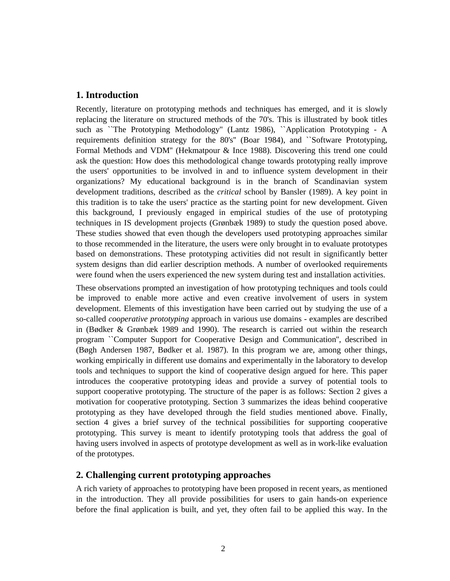# **1. Introduction**

Recently, literature on prototyping methods and techniques has emerged, and it is slowly replacing the literature on structured methods of the 70's. This is illustrated by book titles such as ``The Prototyping Methodology'' (Lantz 1986), ``Application Prototyping - A requirements definition strategy for the 80's'' (Boar 1984), and ``Software Prototyping, Formal Methods and VDM'' (Hekmatpour & Ince 1988). Discovering this trend one could ask the question: How does this methodological change towards prototyping really improve the users' opportunities to be involved in and to influence system development in their organizations? My educational background is in the branch of Scandinavian system development traditions, described as the *critical* school by Bansler (1989). A key point in this tradition is to take the users' practice as the starting point for new development. Given this background, I previously engaged in empirical studies of the use of prototyping techniques in IS development projects (Grønbæk 1989) to study the question posed above. These studies showed that even though the developers used prototyping approaches similar to those recommended in the literature, the users were only brought in to evaluate prototypes based on demonstrations. These prototyping activities did not result in significantly better system designs than did earlier description methods. A number of overlooked requirements were found when the users experienced the new system during test and installation activities.

These observations prompted an investigation of how prototyping techniques and tools could be improved to enable more active and even creative involvement of users in system development. Elements of this investigation have been carried out by studying the use of a so-called *cooperative prototyping* approach in various use domains - examples are described in (Bødker & Grønbæk 1989 and 1990). The research is carried out within the research program ``Computer Support for Cooperative Design and Communication'', described in (Bøgh Andersen 1987, Bødker et al. 1987). In this program we are, among other things, working empirically in different use domains and experimentally in the laboratory to develop tools and techniques to support the kind of cooperative design argued for here. This paper introduces the cooperative prototyping ideas and provide a survey of potential tools to support cooperative prototyping. The structure of the paper is as follows: Section 2 gives a motivation for cooperative prototyping. Section 3 summarizes the ideas behind cooperative prototyping as they have developed through the field studies mentioned above. Finally, section 4 gives a brief survey of the technical possibilities for supporting cooperative prototyping. This survey is meant to identify prototyping tools that address the goal of having users involved in aspects of prototype development as well as in work-like evaluation of the prototypes.

# **2. Challenging current prototyping approaches**

A rich variety of approaches to prototyping have been proposed in recent years, as mentioned in the introduction. They all provide possibilities for users to gain hands-on experience before the final application is built, and yet, they often fail to be applied this way. In the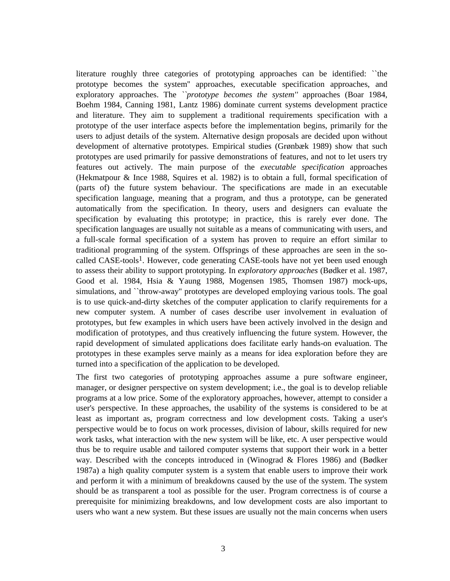literature roughly three categories of prototyping approaches can be identified: ``the prototype becomes the system'' approaches, executable specification approaches, and exploratory approaches. The *``prototype becomes the system''* approaches (Boar 1984, Boehm 1984, Canning 1981, Lantz 1986) dominate current systems development practice and literature. They aim to supplement a traditional requirements specification with a prototype of the user interface aspects before the implementation begins, primarily for the users to adjust details of the system. Alternative design proposals are decided upon without development of alternative prototypes. Empirical studies (Grønbæk 1989) show that such prototypes are used primarily for passive demonstrations of features, and not to let users try features out actively. The main purpose of the *executable specification* approaches (Hekmatpour & Ince 1988, Squires et al. 1982) is to obtain a full, formal specification of (parts of) the future system behaviour. The specifications are made in an executable specification language, meaning that a program, and thus a prototype, can be generated automatically from the specification. In theory, users and designers can evaluate the specification by evaluating this prototype; in practice, this is rarely ever done. The specification languages are usually not suitable as a means of communicating with users, and a full-scale formal specification of a system has proven to require an effort similar to traditional programming of the system. Offsprings of these approaches are seen in the socalled  $CASE-tools<sup>1</sup>$ . However, code generating  $CASE-tools$  have not yet been used enough to assess their ability to support prototyping. In *exploratory approaches* (Bødker et al. 1987, Good et al. 1984, Hsia & Yaung 1988, Mogensen 1985, Thomsen 1987) mock-ups, simulations, and ``throw-away'' prototypes are developed employing various tools. The goal is to use quick-and-dirty sketches of the computer application to clarify requirements for a new computer system. A number of cases describe user involvement in evaluation of prototypes, but few examples in which users have been actively involved in the design and modification of prototypes, and thus creatively influencing the future system. However, the rapid development of simulated applications does facilitate early hands-on evaluation. The prototypes in these examples serve mainly as a means for idea exploration before they are turned into a specification of the application to be developed.

The first two categories of prototyping approaches assume a pure software engineer, manager, or designer perspective on system development; i.e., the goal is to develop reliable programs at a low price. Some of the exploratory approaches, however, attempt to consider a user's perspective. In these approaches, the usability of the systems is considered to be at least as important as, program correctness and low development costs. Taking a user's perspective would be to focus on work processes, division of labour, skills required for new work tasks, what interaction with the new system will be like, etc. A user perspective would thus be to require usable and tailored computer systems that support their work in a better way. Described with the concepts introduced in (Winograd & Flores 1986) and (Bødker 1987a) a high quality computer system is a system that enable users to improve their work and perform it with a minimum of breakdowns caused by the use of the system. The system should be as transparent a tool as possible for the user. Program correctness is of course a prerequisite for minimizing breakdowns, and low development costs are also important to users who want a new system. But these issues are usually not the main concerns when users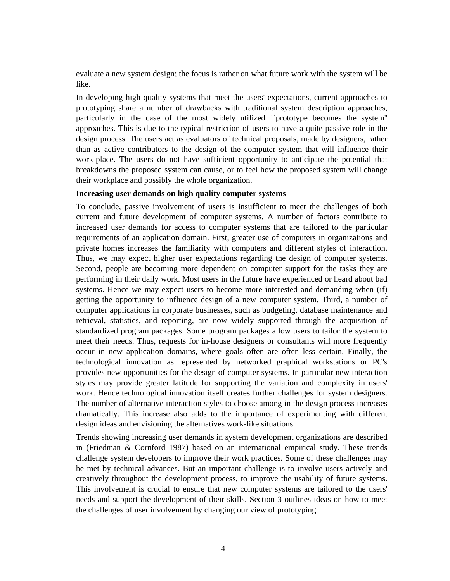evaluate a new system design; the focus is rather on what future work with the system will be like.

In developing high quality systems that meet the users' expectations, current approaches to prototyping share a number of drawbacks with traditional system description approaches, particularly in the case of the most widely utilized ``prototype becomes the system'' approaches. This is due to the typical restriction of users to have a quite passive role in the design process. The users act as evaluators of technical proposals, made by designers, rather than as active contributors to the design of the computer system that will influence their work-place. The users do not have sufficient opportunity to anticipate the potential that breakdowns the proposed system can cause, or to feel how the proposed system will change their workplace and possibly the whole organization.

## **Increasing user demands on high quality computer systems**

To conclude, passive involvement of users is insufficient to meet the challenges of both current and future development of computer systems. A number of factors contribute to increased user demands for access to computer systems that are tailored to the particular requirements of an application domain. First, greater use of computers in organizations and private homes increases the familiarity with computers and different styles of interaction. Thus, we may expect higher user expectations regarding the design of computer systems. Second, people are becoming more dependent on computer support for the tasks they are performing in their daily work. Most users in the future have experienced or heard about bad systems. Hence we may expect users to become more interested and demanding when (if) getting the opportunity to influence design of a new computer system. Third, a number of computer applications in corporate businesses, such as budgeting, database maintenance and retrieval, statistics, and reporting, are now widely supported through the acquisition of standardized program packages. Some program packages allow users to tailor the system to meet their needs. Thus, requests for in-house designers or consultants will more frequently occur in new application domains, where goals often are often less certain. Finally, the technological innovation as represented by networked graphical workstations or PC's provides new opportunities for the design of computer systems. In particular new interaction styles may provide greater latitude for supporting the variation and complexity in users' work. Hence technological innovation itself creates further challenges for system designers. The number of alternative interaction styles to choose among in the design process increases dramatically. This increase also adds to the importance of experimenting with different design ideas and envisioning the alternatives work-like situations.

Trends showing increasing user demands in system development organizations are described in (Friedman & Cornford 1987) based on an international empirical study. These trends challenge system developers to improve their work practices. Some of these challenges may be met by technical advances. But an important challenge is to involve users actively and creatively throughout the development process, to improve the usability of future systems. This involvement is crucial to ensure that new computer systems are tailored to the users' needs and support the development of their skills. Section 3 outlines ideas on how to meet the challenges of user involvement by changing our view of prototyping.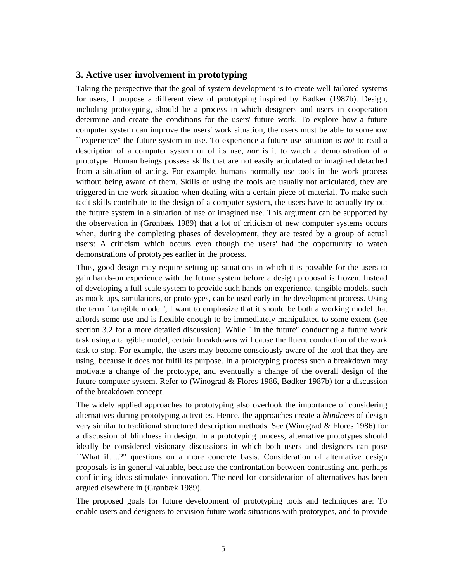# **3. Active user involvement in prototyping**

Taking the perspective that the goal of system development is to create well-tailored systems for users, I propose a different view of prototyping inspired by Bødker (1987b). Design, including prototyping, should be a process in which designers and users in cooperation determine and create the conditions for the users' future work. To explore how a future computer system can improve the users' work situation, the users must be able to somehow ``experience'' the future system in use. To experience a future use situation is *not* to read a description of a computer system or of its use, *nor* is it to watch a demonstration of a prototype: Human beings possess skills that are not easily articulated or imagined detached from a situation of acting. For example, humans normally use tools in the work process without being aware of them. Skills of using the tools are usually not articulated, they are triggered in the work situation when dealing with a certain piece of material. To make such tacit skills contribute to the design of a computer system, the users have to actually try out the future system in a situation of use or imagined use. This argument can be supported by the observation in (Grønbæk 1989) that a lot of criticism of new computer systems occurs when, during the completing phases of development, they are tested by a group of actual users: A criticism which occurs even though the users' had the opportunity to watch demonstrations of prototypes earlier in the process.

Thus, good design may require setting up situations in which it is possible for the users to gain hands-on experience with the future system before a design proposal is frozen. Instead of developing a full-scale system to provide such hands-on experience, tangible models, such as mock-ups, simulations, or prototypes, can be used early in the development process. Using the term ``tangible model'', I want to emphasize that it should be both a working model that affords some use and is flexible enough to be immediately manipulated to some extent (see section 3.2 for a more detailed discussion). While "in the future" conducting a future work task using a tangible model, certain breakdowns will cause the fluent conduction of the work task to stop. For example, the users may become consciously aware of the tool that they are using, because it does not fulfil its purpose. In a prototyping process such a breakdown may motivate a change of the prototype, and eventually a change of the overall design of the future computer system. Refer to (Winograd & Flores 1986, Bødker 1987b) for a discussion of the breakdown concept.

The widely applied approaches to prototyping also overlook the importance of considering alternatives during prototyping activities. Hence, the approaches create a *blindness* of design very similar to traditional structured description methods. See (Winograd & Flores 1986) for a discussion of blindness in design. In a prototyping process, alternative prototypes should ideally be considered visionary discussions in which both users and designers can pose ``What if.....?'' questions on a more concrete basis. Consideration of alternative design proposals is in general valuable, because the confrontation between contrasting and perhaps conflicting ideas stimulates innovation. The need for consideration of alternatives has been argued elsewhere in (Grønbæk 1989).

The proposed goals for future development of prototyping tools and techniques are: To enable users and designers to envision future work situations with prototypes, and to provide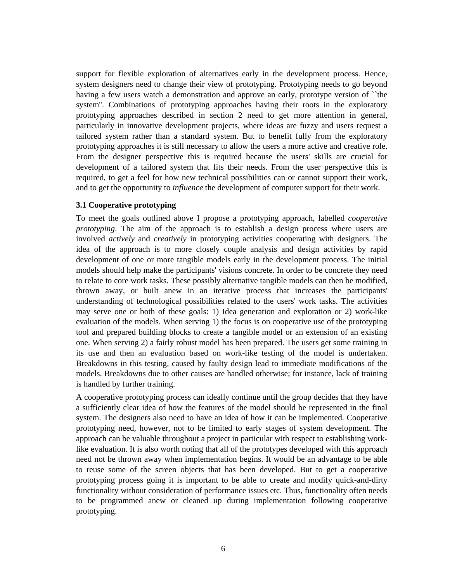support for flexible exploration of alternatives early in the development process. Hence, system designers need to change their view of prototyping. Prototyping needs to go beyond having a few users watch a demonstration and approve an early, prototype version of "the system''. Combinations of prototyping approaches having their roots in the exploratory prototyping approaches described in section 2 need to get more attention in general, particularly in innovative development projects, where ideas are fuzzy and users request a tailored system rather than a standard system. But to benefit fully from the exploratory prototyping approaches it is still necessary to allow the users a more active and creative role. From the designer perspective this is required because the users' skills are crucial for development of a tailored system that fits their needs. From the user perspective this is required, to get a feel for how new technical possibilities can or cannot support their work, and to get the opportunity to *influence* the development of computer support for their work.

## **3.1 Cooperative prototyping**

To meet the goals outlined above I propose a prototyping approach, labelled *cooperative prototyping*. The aim of the approach is to establish a design process where users are involved *actively* and *creatively* in prototyping activities cooperating with designers. The idea of the approach is to more closely couple analysis and design activities by rapid development of one or more tangible models early in the development process. The initial models should help make the participants' visions concrete. In order to be concrete they need to relate to core work tasks. These possibly alternative tangible models can then be modified, thrown away, or built anew in an iterative process that increases the participants' understanding of technological possibilities related to the users' work tasks. The activities may serve one or both of these goals: 1) Idea generation and exploration or 2) work-like evaluation of the models. When serving 1) the focus is on cooperative use of the prototyping tool and prepared building blocks to create a tangible model or an extension of an existing one. When serving 2) a fairly robust model has been prepared. The users get some training in its use and then an evaluation based on work-like testing of the model is undertaken. Breakdowns in this testing, caused by faulty design lead to immediate modifications of the models. Breakdowns due to other causes are handled otherwise; for instance, lack of training is handled by further training.

A cooperative prototyping process can ideally continue until the group decides that they have a sufficiently clear idea of how the features of the model should be represented in the final system. The designers also need to have an idea of how it can be implemented. Cooperative prototyping need, however, not to be limited to early stages of system development. The approach can be valuable throughout a project in particular with respect to establishing worklike evaluation. It is also worth noting that all of the prototypes developed with this approach need not be thrown away when implementation begins. It would be an advantage to be able to reuse some of the screen objects that has been developed. But to get a cooperative prototyping process going it is important to be able to create and modify quick-and-dirty functionality without consideration of performance issues etc. Thus, functionality often needs to be programmed anew or cleaned up during implementation following cooperative prototyping.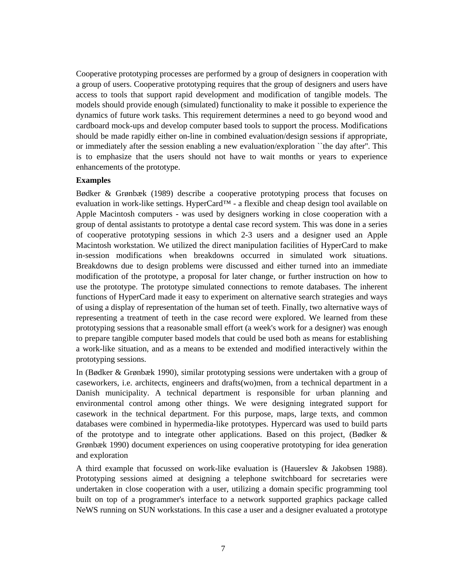Cooperative prototyping processes are performed by a group of designers in cooperation with a group of users. Cooperative prototyping requires that the group of designers and users have access to tools that support rapid development and modification of tangible models. The models should provide enough (simulated) functionality to make it possible to experience the dynamics of future work tasks. This requirement determines a need to go beyond wood and cardboard mock-ups and develop computer based tools to support the process. Modifications should be made rapidly either on-line in combined evaluation/design sessions if appropriate, or immediately after the session enabling a new evaluation/exploration ``the day after''. This is to emphasize that the users should not have to wait months or years to experience enhancements of the prototype.

### **Examples**

Bødker & Grønbæk (1989) describe a cooperative prototyping process that focuses on evaluation in work-like settings. HyperCard™ - a flexible and cheap design tool available on Apple Macintosh computers - was used by designers working in close cooperation with a group of dental assistants to prototype a dental case record system. This was done in a series of cooperative prototyping sessions in which 2-3 users and a designer used an Apple Macintosh workstation. We utilized the direct manipulation facilities of HyperCard to make in-session modifications when breakdowns occurred in simulated work situations. Breakdowns due to design problems were discussed and either turned into an immediate modification of the prototype, a proposal for later change, or further instruction on how to use the prototype. The prototype simulated connections to remote databases. The inherent functions of HyperCard made it easy to experiment on alternative search strategies and ways of using a display of representation of the human set of teeth. Finally, two alternative ways of representing a treatment of teeth in the case record were explored. We learned from these prototyping sessions that a reasonable small effort (a week's work for a designer) was enough to prepare tangible computer based models that could be used both as means for establishing a work-like situation, and as a means to be extended and modified interactively within the prototyping sessions.

In (Bødker & Grønbæk 1990), similar prototyping sessions were undertaken with a group of caseworkers, i.e. architects, engineers and drafts(wo)men, from a technical department in a Danish municipality. A technical department is responsible for urban planning and environmental control among other things. We were designing integrated support for casework in the technical department. For this purpose, maps, large texts, and common databases were combined in hypermedia-like prototypes. Hypercard was used to build parts of the prototype and to integrate other applications. Based on this project, (Bødker  $\&$ Grønbæk 1990) document experiences on using cooperative prototyping for idea generation and exploration

A third example that focussed on work-like evaluation is (Hauerslev & Jakobsen 1988). Prototyping sessions aimed at designing a telephone switchboard for secretaries were undertaken in close cooperation with a user, utilizing a domain specific programming tool built on top of a programmer's interface to a network supported graphics package called NeWS running on SUN workstations. In this case a user and a designer evaluated a prototype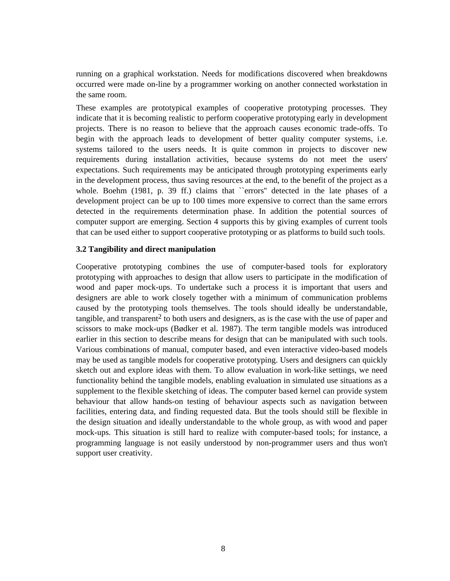running on a graphical workstation. Needs for modifications discovered when breakdowns occurred were made on-line by a programmer working on another connected workstation in the same room.

These examples are prototypical examples of cooperative prototyping processes. They indicate that it is becoming realistic to perform cooperative prototyping early in development projects. There is no reason to believe that the approach causes economic trade-offs. To begin with the approach leads to development of better quality computer systems, i.e. systems tailored to the users needs. It is quite common in projects to discover new requirements during installation activities, because systems do not meet the users' expectations. Such requirements may be anticipated through prototyping experiments early in the development process, thus saving resources at the end, to the benefit of the project as a whole. Boehm (1981, p. 39 ff.) claims that "errors" detected in the late phases of a development project can be up to 100 times more expensive to correct than the same errors detected in the requirements determination phase. In addition the potential sources of computer support are emerging. Section 4 supports this by giving examples of current tools that can be used either to support cooperative prototyping or as platforms to build such tools.

### **3.2 Tangibility and direct manipulation**

Cooperative prototyping combines the use of computer-based tools for exploratory prototyping with approaches to design that allow users to participate in the modification of wood and paper mock-ups. To undertake such a process it is important that users and designers are able to work closely together with a minimum of communication problems caused by the prototyping tools themselves. The tools should ideally be understandable, tangible, and transparent2 to both users and designers, as is the case with the use of paper and scissors to make mock-ups (Bødker et al. 1987). The term tangible models was introduced earlier in this section to describe means for design that can be manipulated with such tools. Various combinations of manual, computer based, and even interactive video-based models may be used as tangible models for cooperative prototyping. Users and designers can quickly sketch out and explore ideas with them. To allow evaluation in work-like settings, we need functionality behind the tangible models, enabling evaluation in simulated use situations as a supplement to the flexible sketching of ideas. The computer based kernel can provide system behaviour that allow hands-on testing of behaviour aspects such as navigation between facilities, entering data, and finding requested data. But the tools should still be flexible in the design situation and ideally understandable to the whole group, as with wood and paper mock-ups. This situation is still hard to realize with computer-based tools; for instance, a programming language is not easily understood by non-programmer users and thus won't support user creativity.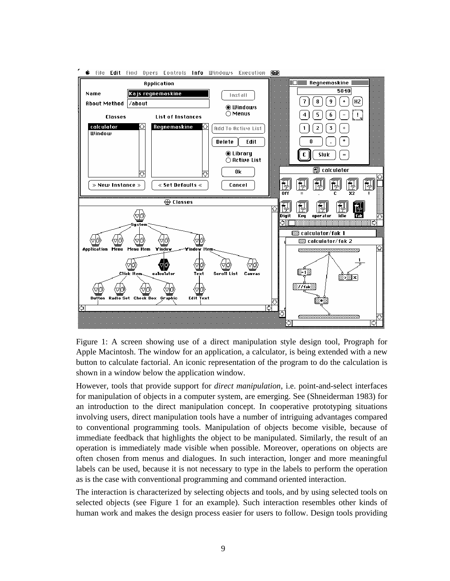

6 file Edit find Opers Controls Info Windows Execution രി

Figure 1: A screen showing use of a direct manipulation style design tool, Prograph for Apple Macintosh. The window for an application, a calculator, is being extended with a new button to calculate factorial. An iconic representation of the program to do the calculation is shown in a window below the application window.

However, tools that provide support for *direct manipulation*, i.e. point-and-select interfaces for manipulation of objects in a computer system, are emerging. See (Shneiderman 1983) for an introduction to the direct manipulation concept. In cooperative prototyping situations involving users, direct manipulation tools have a number of intriguing advantages compared to conventional programming tools. Manipulation of objects become visible, because of immediate feedback that highlights the object to be manipulated. Similarly, the result of an operation is immediately made visible when possible. Moreover, operations on objects are often chosen from menus and dialogues. In such interaction, longer and more meaningful labels can be used, because it is not necessary to type in the labels to perform the operation as is the case with conventional programming and command oriented interaction.

The interaction is characterized by selecting objects and tools, and by using selected tools on selected objects (see Figure 1 for an example). Such interaction resembles other kinds of human work and makes the design process easier for users to follow. Design tools providing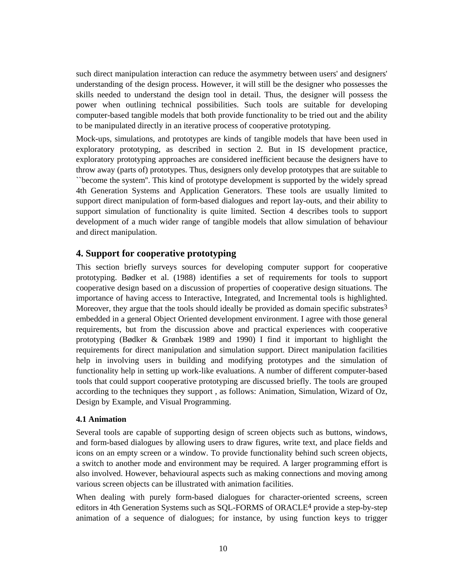such direct manipulation interaction can reduce the asymmetry between users' and designers' understanding of the design process. However, it will still be the designer who possesses the skills needed to understand the design tool in detail. Thus, the designer will possess the power when outlining technical possibilities. Such tools are suitable for developing computer-based tangible models that both provide functionality to be tried out and the ability to be manipulated directly in an iterative process of cooperative prototyping.

Mock-ups, simulations, and prototypes are kinds of tangible models that have been used in exploratory prototyping, as described in section 2. But in IS development practice, exploratory prototyping approaches are considered inefficient because the designers have to throw away (parts of) prototypes. Thus, designers only develop prototypes that are suitable to ``become the system''. This kind of prototype development is supported by the widely spread 4th Generation Systems and Application Generators. These tools are usually limited to support direct manipulation of form-based dialogues and report lay-outs, and their ability to support simulation of functionality is quite limited. Section 4 describes tools to support development of a much wider range of tangible models that allow simulation of behaviour and direct manipulation.

# **4. Support for cooperative prototyping**

This section briefly surveys sources for developing computer support for cooperative prototyping. Bødker et al. (1988) identifies a set of requirements for tools to support cooperative design based on a discussion of properties of cooperative design situations. The importance of having access to Interactive, Integrated, and Incremental tools is highlighted. Moreover, they argue that the tools should ideally be provided as domain specific substrates<sup>3</sup> embedded in a general Object Oriented development environment. I agree with those general requirements, but from the discussion above and practical experiences with cooperative prototyping (Bødker & Grønbæk 1989 and 1990) I find it important to highlight the requirements for direct manipulation and simulation support. Direct manipulation facilities help in involving users in building and modifying prototypes and the simulation of functionality help in setting up work-like evaluations. A number of different computer-based tools that could support cooperative prototyping are discussed briefly. The tools are grouped according to the techniques they support , as follows: Animation, Simulation, Wizard of Oz, Design by Example, and Visual Programming.

# **4.1 Animation**

Several tools are capable of supporting design of screen objects such as buttons, windows, and form-based dialogues by allowing users to draw figures, write text, and place fields and icons on an empty screen or a window. To provide functionality behind such screen objects, a switch to another mode and environment may be required. A larger programming effort is also involved. However, behavioural aspects such as making connections and moving among various screen objects can be illustrated with animation facilities.

When dealing with purely form-based dialogues for character-oriented screens, screen editors in 4th Generation Systems such as SQL-FORMS of ORACLE4 provide a step-by-step animation of a sequence of dialogues; for instance, by using function keys to trigger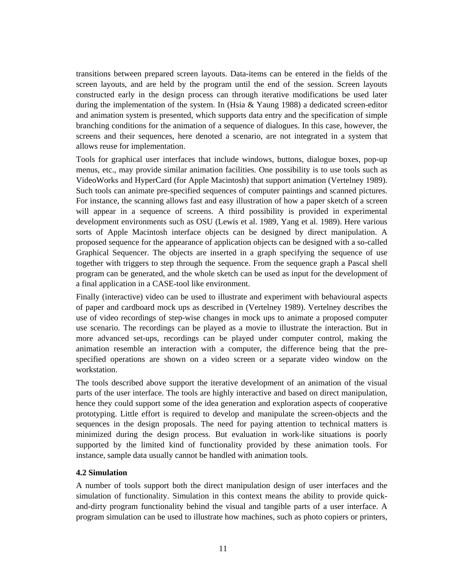transitions between prepared screen layouts. Data-items can be entered in the fields of the screen layouts, and are held by the program until the end of the session. Screen layouts constructed early in the design process can through iterative modifications be used later during the implementation of the system. In (Hsia & Yaung 1988) a dedicated screen-editor and animation system is presented, which supports data entry and the specification of simple branching conditions for the animation of a sequence of dialogues. In this case, however, the screens and their sequences, here denoted a scenario, are not integrated in a system that allows reuse for implementation.

Tools for graphical user interfaces that include windows, buttons, dialogue boxes, pop-up menus, etc., may provide similar animation facilities. One possibility is to use tools such as VideoWorks and HyperCard (for Apple Macintosh) that support animation (Vertelney 1989). Such tools can animate pre-specified sequences of computer paintings and scanned pictures. For instance, the scanning allows fast and easy illustration of how a paper sketch of a screen will appear in a sequence of screens. A third possibility is provided in experimental development environments such as OSU (Lewis et al. 1989, Yang et al. 1989). Here various sorts of Apple Macintosh interface objects can be designed by direct manipulation. A proposed sequence for the appearance of application objects can be designed with a so-called Graphical Sequencer. The objects are inserted in a graph specifying the sequence of use together with triggers to step through the sequence. From the sequence graph a Pascal shell program can be generated, and the whole sketch can be used as input for the development of a final application in a CASE-tool like environment.

Finally (interactive) video can be used to illustrate and experiment with behavioural aspects of paper and cardboard mock ups as described in (Vertelney 1989). Vertelney describes the use of video recordings of step-wise changes in mock ups to animate a proposed computer use scenario. The recordings can be played as a movie to illustrate the interaction. But in more advanced set-ups, recordings can be played under computer control, making the animation resemble an interaction with a computer, the difference being that the prespecified operations are shown on a video screen or a separate video window on the workstation.

The tools described above support the iterative development of an animation of the visual parts of the user interface. The tools are highly interactive and based on direct manipulation, hence they could support some of the idea generation and exploration aspects of cooperative prototyping. Little effort is required to develop and manipulate the screen-objects and the sequences in the design proposals. The need for paying attention to technical matters is minimized during the design process. But evaluation in work-like situations is poorly supported by the limited kind of functionality provided by these animation tools. For instance, sample data usually cannot be handled with animation tools.

# **4.2 Simulation**

A number of tools support both the direct manipulation design of user interfaces and the simulation of functionality. Simulation in this context means the ability to provide quickand-dirty program functionality behind the visual and tangible parts of a user interface. A program simulation can be used to illustrate how machines, such as photo copiers or printers,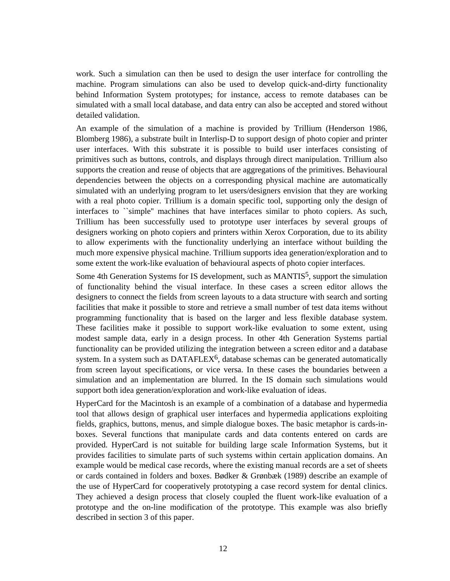work. Such a simulation can then be used to design the user interface for controlling the machine. Program simulations can also be used to develop quick-and-dirty functionality behind Information System prototypes; for instance, access to remote databases can be simulated with a small local database, and data entry can also be accepted and stored without detailed validation.

An example of the simulation of a machine is provided by Trillium (Henderson 1986, Blomberg 1986), a substrate built in Interlisp-D to support design of photo copier and printer user interfaces. With this substrate it is possible to build user interfaces consisting of primitives such as buttons, controls, and displays through direct manipulation. Trillium also supports the creation and reuse of objects that are aggregations of the primitives. Behavioural dependencies between the objects on a corresponding physical machine are automatically simulated with an underlying program to let users/designers envision that they are working with a real photo copier. Trillium is a domain specific tool, supporting only the design of interfaces to ``simple'' machines that have interfaces similar to photo copiers. As such, Trillium has been successfully used to prototype user interfaces by several groups of designers working on photo copiers and printers within Xerox Corporation, due to its ability to allow experiments with the functionality underlying an interface without building the much more expensive physical machine. Trillium supports idea generation/exploration and to some extent the work-like evaluation of behavioural aspects of photo copier interfaces.

Some 4th Generation Systems for IS development, such as MANTIS<sup>5</sup>, support the simulation of functionality behind the visual interface. In these cases a screen editor allows the designers to connect the fields from screen layouts to a data structure with search and sorting facilities that make it possible to store and retrieve a small number of test data items without programming functionality that is based on the larger and less flexible database system. These facilities make it possible to support work-like evaluation to some extent, using modest sample data, early in a design process. In other 4th Generation Systems partial functionality can be provided utilizing the integration between a screen editor and a database system. In a system such as DATAFLEX $6$ , database schemas can be generated automatically from screen layout specifications, or vice versa. In these cases the boundaries between a simulation and an implementation are blurred. In the IS domain such simulations would support both idea generation/exploration and work-like evaluation of ideas.

HyperCard for the Macintosh is an example of a combination of a database and hypermedia tool that allows design of graphical user interfaces and hypermedia applications exploiting fields, graphics, buttons, menus, and simple dialogue boxes. The basic metaphor is cards-inboxes. Several functions that manipulate cards and data contents entered on cards are provided. HyperCard is not suitable for building large scale Information Systems, but it provides facilities to simulate parts of such systems within certain application domains. An example would be medical case records, where the existing manual records are a set of sheets or cards contained in folders and boxes. Bødker & Grønbæk (1989) describe an example of the use of HyperCard for cooperatively prototyping a case record system for dental clinics. They achieved a design process that closely coupled the fluent work-like evaluation of a prototype and the on-line modification of the prototype. This example was also briefly described in section 3 of this paper.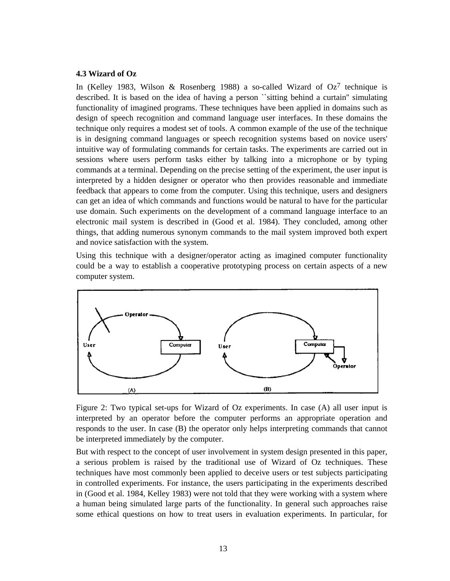#### **4.3 Wizard of Oz**

In (Kelley 1983, Wilson & Rosenberg 1988) a so-called Wizard of  $Oz<sup>7</sup>$  technique is described. It is based on the idea of having a person ``sitting behind a curtain'' simulating functionality of imagined programs. These techniques have been applied in domains such as design of speech recognition and command language user interfaces. In these domains the technique only requires a modest set of tools. A common example of the use of the technique is in designing command languages or speech recognition systems based on novice users' intuitive way of formulating commands for certain tasks. The experiments are carried out in sessions where users perform tasks either by talking into a microphone or by typing commands at a terminal. Depending on the precise setting of the experiment, the user input is interpreted by a hidden designer or operator who then provides reasonable and immediate feedback that appears to come from the computer. Using this technique, users and designers can get an idea of which commands and functions would be natural to have for the particular use domain. Such experiments on the development of a command language interface to an electronic mail system is described in (Good et al. 1984). They concluded, among other things, that adding numerous synonym commands to the mail system improved both expert and novice satisfaction with the system.

Using this technique with a designer/operator acting as imagined computer functionality could be a way to establish a cooperative prototyping process on certain aspects of a new computer system.



Figure 2: Two typical set-ups for Wizard of Oz experiments. In case (A) all user input is interpreted by an operator before the computer performs an appropriate operation and responds to the user. In case (B) the operator only helps interpreting commands that cannot be interpreted immediately by the computer.

But with respect to the concept of user involvement in system design presented in this paper, a serious problem is raised by the traditional use of Wizard of Oz techniques. These techniques have most commonly been applied to deceive users or test subjects participating in controlled experiments. For instance, the users participating in the experiments described in (Good et al. 1984, Kelley 1983) were not told that they were working with a system where a human being simulated large parts of the functionality. In general such approaches raise some ethical questions on how to treat users in evaluation experiments. In particular, for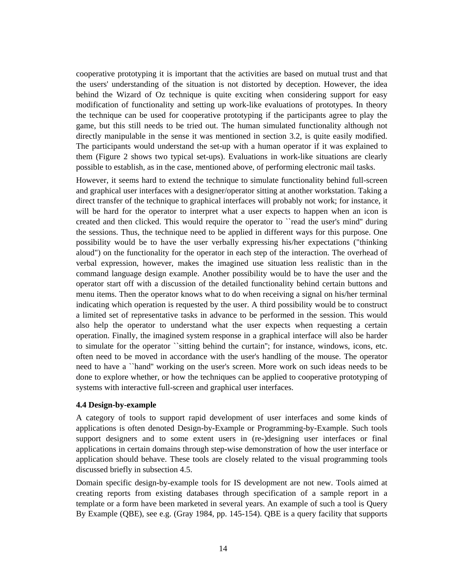cooperative prototyping it is important that the activities are based on mutual trust and that the users' understanding of the situation is not distorted by deception. However, the idea behind the Wizard of Oz technique is quite exciting when considering support for easy modification of functionality and setting up work-like evaluations of prototypes. In theory the technique can be used for cooperative prototyping if the participants agree to play the game, but this still needs to be tried out. The human simulated functionality although not directly manipulable in the sense it was mentioned in section 3.2, is quite easily modified. The participants would understand the set-up with a human operator if it was explained to them (Figure 2 shows two typical set-ups). Evaluations in work-like situations are clearly possible to establish, as in the case, mentioned above, of performing electronic mail tasks.

However, it seems hard to extend the technique to simulate functionality behind full-screen and graphical user interfaces with a designer/operator sitting at another workstation. Taking a direct transfer of the technique to graphical interfaces will probably not work; for instance, it will be hard for the operator to interpret what a user expects to happen when an icon is created and then clicked. This would require the operator to ``read the user's mind'' during the sessions. Thus, the technique need to be applied in different ways for this purpose. One possibility would be to have the user verbally expressing his/her expectations ("thinking aloud") on the functionality for the operator in each step of the interaction. The overhead of verbal expression, however, makes the imagined use situation less realistic than in the command language design example. Another possibility would be to have the user and the operator start off with a discussion of the detailed functionality behind certain buttons and menu items. Then the operator knows what to do when receiving a signal on his/her terminal indicating which operation is requested by the user. A third possibility would be to construct a limited set of representative tasks in advance to be performed in the session. This would also help the operator to understand what the user expects when requesting a certain operation. Finally, the imagined system response in a graphical interface will also be harder to simulate for the operator ``sitting behind the curtain''; for instance, windows, icons, etc. often need to be moved in accordance with the user's handling of the mouse. The operator need to have a ``hand'' working on the user's screen. More work on such ideas needs to be done to explore whether, or how the techniques can be applied to cooperative prototyping of systems with interactive full-screen and graphical user interfaces.

#### **4.4 Design-by-example**

A category of tools to support rapid development of user interfaces and some kinds of applications is often denoted Design-by-Example or Programming-by-Example. Such tools support designers and to some extent users in (re-)designing user interfaces or final applications in certain domains through step-wise demonstration of how the user interface or application should behave. These tools are closely related to the visual programming tools discussed briefly in subsection 4.5.

Domain specific design-by-example tools for IS development are not new. Tools aimed at creating reports from existing databases through specification of a sample report in a template or a form have been marketed in several years. An example of such a tool is Query By Example (QBE), see e.g. (Gray 1984, pp. 145-154). QBE is a query facility that supports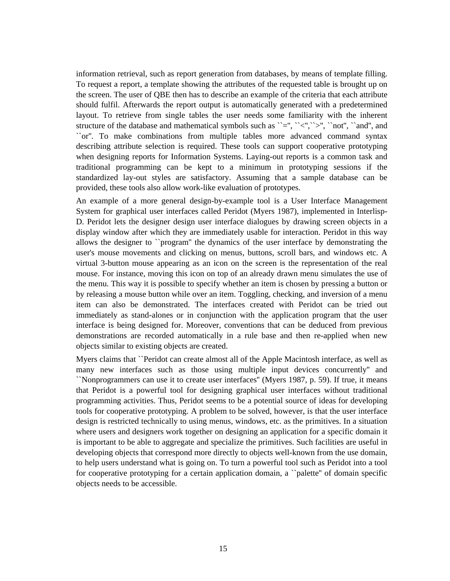information retrieval, such as report generation from databases, by means of template filling. To request a report, a template showing the attributes of the requested table is brought up on the screen. The user of QBE then has to describe an example of the criteria that each attribute should fulfil. Afterwards the report output is automatically generated with a predetermined layout. To retrieve from single tables the user needs some familiarity with the inherent structure of the database and mathematical symbols such as  $\leq$ ,  $\leq$ ,  $\leq$ ,  $\leq$ ,  $\geq$ ,  $\leq$ ,  $\leq$ ,  $\leq$ ,  $\leq$ ,  $\leq$ ,  $\leq$ ,  $\leq$ ,  $\leq$ ,  $\leq$ ,  $\leq$ ,  $\leq$ ,  $\leq$ ,  $\leq$ ,  $\leq$ ,  $\leq$ ,  $\leq$ ,  $\leq$ ,  $\leq$ , ``or''. To make combinations from multiple tables more advanced command syntax describing attribute selection is required. These tools can support cooperative prototyping when designing reports for Information Systems. Laying-out reports is a common task and traditional programming can be kept to a minimum in prototyping sessions if the standardized lay-out styles are satisfactory. Assuming that a sample database can be provided, these tools also allow work-like evaluation of prototypes.

An example of a more general design-by-example tool is a User Interface Management System for graphical user interfaces called Peridot (Myers 1987), implemented in Interlisp-D. Peridot lets the designer design user interface dialogues by drawing screen objects in a display window after which they are immediately usable for interaction. Peridot in this way allows the designer to ``program'' the dynamics of the user interface by demonstrating the user's mouse movements and clicking on menus, buttons, scroll bars, and windows etc. A virtual 3-button mouse appearing as an icon on the screen is the representation of the real mouse. For instance, moving this icon on top of an already drawn menu simulates the use of the menu. This way it is possible to specify whether an item is chosen by pressing a button or by releasing a mouse button while over an item. Toggling, checking, and inversion of a menu item can also be demonstrated. The interfaces created with Peridot can be tried out immediately as stand-alones or in conjunction with the application program that the user interface is being designed for. Moreover, conventions that can be deduced from previous demonstrations are recorded automatically in a rule base and then re-applied when new objects similar to existing objects are created.

Myers claims that ``Peridot can create almost all of the Apple Macintosh interface, as well as many new interfaces such as those using multiple input devices concurrently'' and ``Nonprogrammers can use it to create user interfaces'' (Myers 1987, p. 59). If true, it means that Peridot is a powerful tool for designing graphical user interfaces without traditional programming activities. Thus, Peridot seems to be a potential source of ideas for developing tools for cooperative prototyping. A problem to be solved, however, is that the user interface design is restricted technically to using menus, windows, etc. as the primitives. In a situation where users and designers work together on designing an application for a specific domain it is important to be able to aggregate and specialize the primitives. Such facilities are useful in developing objects that correspond more directly to objects well-known from the use domain, to help users understand what is going on. To turn a powerful tool such as Peridot into a tool for cooperative prototyping for a certain application domain, a ``palette'' of domain specific objects needs to be accessible.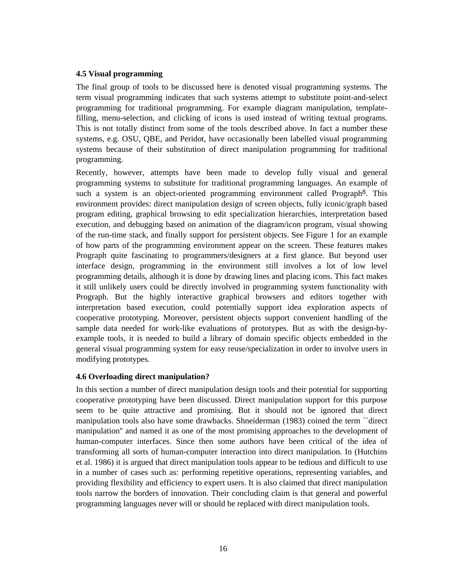### **4.5 Visual programming**

The final group of tools to be discussed here is denoted visual programming systems. The term visual programming indicates that such systems attempt to substitute point-and-select programming for traditional programming. For example diagram manipulation, templatefilling, menu-selection, and clicking of icons is used instead of writing textual programs. This is not totally distinct from some of the tools described above. In fact a number these systems, e.g. OSU, QBE, and Peridot, have occasionally been labelled visual programming systems because of their substitution of direct manipulation programming for traditional programming.

Recently, however, attempts have been made to develop fully visual and general programming systems to substitute for traditional programming languages. An example of such a system is an object-oriented programming environment called Prograph<sup>8</sup>. This environment provides: direct manipulation design of screen objects, fully iconic/graph based program editing, graphical browsing to edit specialization hierarchies, interpretation based execution, and debugging based on animation of the diagram/icon program, visual showing of the run-time stack, and finally support for persistent objects. See Figure 1 for an example of how parts of the programming environment appear on the screen. These features makes Prograph quite fascinating to programmers/designers at a first glance. But beyond user interface design, programming in the environment still involves a lot of low level programming details, although it is done by drawing lines and placing icons. This fact makes it still unlikely users could be directly involved in programming system functionality with Prograph. But the highly interactive graphical browsers and editors together with interpretation based execution, could potentially support idea exploration aspects of cooperative prototyping. Moreover, persistent objects support convenient handling of the sample data needed for work-like evaluations of prototypes. But as with the design-byexample tools, it is needed to build a library of domain specific objects embedded in the general visual programming system for easy reuse/specialization in order to involve users in modifying prototypes.

# **4.6 Overloading direct manipulation?**

In this section a number of direct manipulation design tools and their potential for supporting cooperative prototyping have been discussed. Direct manipulation support for this purpose seem to be quite attractive and promising. But it should not be ignored that direct manipulation tools also have some drawbacks. Shneiderman (1983) coined the term ``direct manipulation'' and named it as one of the most promising approaches to the development of human-computer interfaces. Since then some authors have been critical of the idea of transforming all sorts of human-computer interaction into direct manipulation. In (Hutchins et al. 1986) it is argued that direct manipulation tools appear to be tedious and difficult to use in a number of cases such as: performing repetitive operations, representing variables, and providing flexibility and efficiency to expert users. It is also claimed that direct manipulation tools narrow the borders of innovation. Their concluding claim is that general and powerful programming languages never will or should be replaced with direct manipulation tools.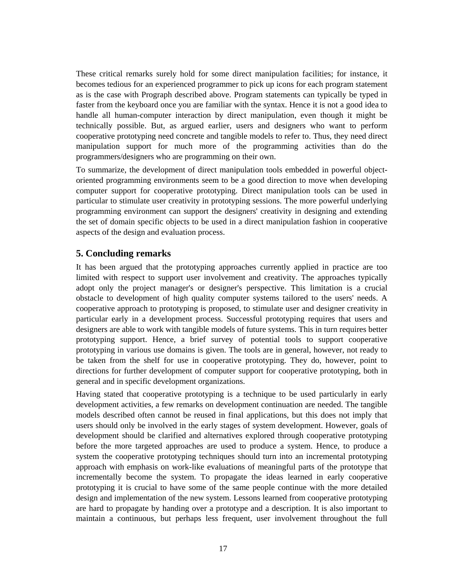These critical remarks surely hold for some direct manipulation facilities; for instance, it becomes tedious for an experienced programmer to pick up icons for each program statement as is the case with Prograph described above. Program statements can typically be typed in faster from the keyboard once you are familiar with the syntax. Hence it is not a good idea to handle all human-computer interaction by direct manipulation, even though it might be technically possible. But, as argued earlier, users and designers who want to perform cooperative prototyping need concrete and tangible models to refer to. Thus, they need direct manipulation support for much more of the programming activities than do the programmers/designers who are programming on their own.

To summarize, the development of direct manipulation tools embedded in powerful objectoriented programming environments seem to be a good direction to move when developing computer support for cooperative prototyping. Direct manipulation tools can be used in particular to stimulate user creativity in prototyping sessions. The more powerful underlying programming environment can support the designers' creativity in designing and extending the set of domain specific objects to be used in a direct manipulation fashion in cooperative aspects of the design and evaluation process.

# **5. Concluding remarks**

It has been argued that the prototyping approaches currently applied in practice are too limited with respect to support user involvement and creativity. The approaches typically adopt only the project manager's or designer's perspective. This limitation is a crucial obstacle to development of high quality computer systems tailored to the users' needs. A cooperative approach to prototyping is proposed, to stimulate user and designer creativity in particular early in a development process. Successful prototyping requires that users and designers are able to work with tangible models of future systems. This in turn requires better prototyping support. Hence, a brief survey of potential tools to support cooperative prototyping in various use domains is given. The tools are in general, however, not ready to be taken from the shelf for use in cooperative prototyping. They do, however, point to directions for further development of computer support for cooperative prototyping, both in general and in specific development organizations.

Having stated that cooperative prototyping is a technique to be used particularly in early development activities, a few remarks on development continuation are needed. The tangible models described often cannot be reused in final applications, but this does not imply that users should only be involved in the early stages of system development. However, goals of development should be clarified and alternatives explored through cooperative prototyping before the more targeted approaches are used to produce a system. Hence, to produce a system the cooperative prototyping techniques should turn into an incremental prototyping approach with emphasis on work-like evaluations of meaningful parts of the prototype that incrementally become the system. To propagate the ideas learned in early cooperative prototyping it is crucial to have some of the same people continue with the more detailed design and implementation of the new system. Lessons learned from cooperative prototyping are hard to propagate by handing over a prototype and a description. It is also important to maintain a continuous, but perhaps less frequent, user involvement throughout the full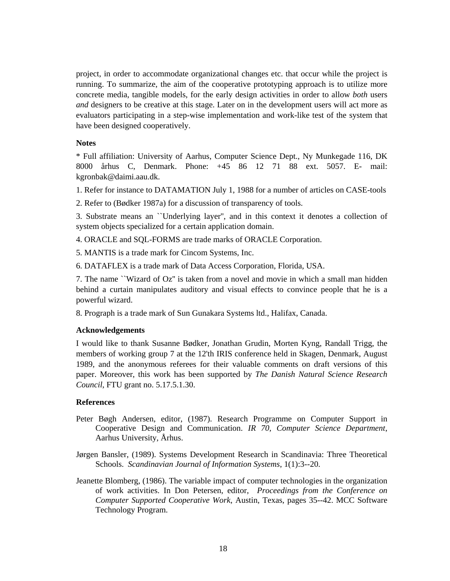project, in order to accommodate organizational changes etc. that occur while the project is running. To summarize, the aim of the cooperative prototyping approach is to utilize more concrete media, tangible models, for the early design activities in order to allow *both* users *and* designers to be creative at this stage. Later on in the development users will act more as evaluators participating in a step-wise implementation and work-like test of the system that have been designed cooperatively.

### **Notes**

\* Full affiliation: University of Aarhus, Computer Science Dept., Ny Munkegade 116, DK 8000 århus C, Denmark. Phone: +45 86 12 71 88 ext. 5057. E- mail: kgronbak@daimi.aau.dk.

1. Refer for instance to DATAMATION July 1, 1988 for a number of articles on CASE-tools

2. Refer to (Bødker 1987a) for a discussion of transparency of tools.

3. Substrate means an ``Underlying layer'', and in this context it denotes a collection of system objects specialized for a certain application domain.

4. ORACLE and SQL-FORMS are trade marks of ORACLE Corporation.

5. MANTIS is a trade mark for Cincom Systems, Inc.

6. DATAFLEX is a trade mark of Data Access Corporation, Florida, USA.

7. The name ``Wizard of Oz'' is taken from a novel and movie in which a small man hidden behind a curtain manipulates auditory and visual effects to convince people that he is a powerful wizard.

8. Prograph is a trade mark of Sun Gunakara Systems ltd., Halifax, Canada.

### **Acknowledgements**

I would like to thank Susanne Bødker, Jonathan Grudin, Morten Kyng, Randall Trigg, the members of working group 7 at the 12'th IRIS conference held in Skagen, Denmark, August 1989, and the anonymous referees for their valuable comments on draft versions of this paper. Moreover, this work has been supported by *The Danish Natural Science Research Council*, FTU grant no. 5.17.5.1.30.

#### **References**

- Peter Bøgh Andersen, editor, (1987). Research Programme on Computer Support in Cooperative Design and Communication. *IR 70, Computer Science Department*, Aarhus University, Århus.
- Jørgen Bansler, (1989). Systems Development Research in Scandinavia: Three Theoretical Schools. *Scandinavian Journal of Information Systems*, 1(1):3--20.
- Jeanette Blomberg, (1986). The variable impact of computer technologies in the organization of work activities. In Don Petersen, editor, *Proceedings from the Conference on Computer Supported Cooperative Work*, Austin, Texas, pages 35--42. MCC Software Technology Program.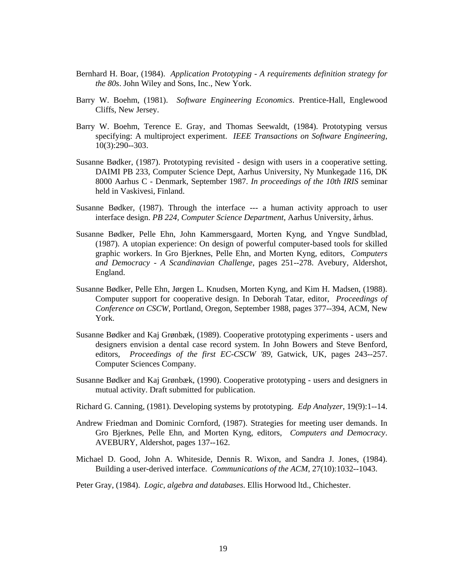- Bernhard H. Boar, (1984). *Application Prototyping A requirements definition strategy for the 80s*. John Wiley and Sons, Inc., New York.
- Barry W. Boehm, (1981). *Software Engineering Economics*. Prentice-Hall, Englewood Cliffs, New Jersey.
- Barry W. Boehm, Terence E. Gray, and Thomas Seewaldt, (1984). Prototyping versus specifying: A multiproject experiment. *IEEE Transactions on Software Engineering*, 10(3):290--303.
- Susanne Bødker, (1987). Prototyping revisited design with users in a cooperative setting. DAIMI PB 233, Computer Science Dept, Aarhus University, Ny Munkegade 116, DK 8000 Aarhus C - Denmark, September 1987. *In proceedings of the 10th IRIS* seminar held in Vaskivesi, Finland.
- Susanne Bødker, (1987). Through the interface --- a human activity approach to user interface design. *PB 224, Computer Science Department*, Aarhus University, århus.
- Susanne Bødker, Pelle Ehn, John Kammersgaard, Morten Kyng, and Yngve Sundblad, (1987). A utopian experience: On design of powerful computer-based tools for skilled graphic workers. In Gro Bjerknes, Pelle Ehn, and Morten Kyng, editors, *Computers and Democracy - A Scandinavian Challenge*, pages 251--278. Avebury, Aldershot, England.
- Susanne Bødker, Pelle Ehn, Jørgen L. Knudsen, Morten Kyng, and Kim H. Madsen, (1988). Computer support for cooperative design. In Deborah Tatar, editor, *Proceedings of Conference on CSCW*, Portland, Oregon, September 1988, pages 377--394, ACM, New York.
- Susanne Bødker and Kaj Grønbæk, (1989). Cooperative prototyping experiments users and designers envision a dental case record system. In John Bowers and Steve Benford, editors, *Proceedings of the first EC-CSCW '89*, Gatwick, UK, pages 243--257. Computer Sciences Company.
- Susanne Bødker and Kaj Grønbæk, (1990). Cooperative prototyping users and designers in mutual activity. Draft submitted for publication.
- Richard G. Canning, (1981). Developing systems by prototyping. *Edp Analyzer*, 19(9):1--14.
- Andrew Friedman and Dominic Cornford, (1987). Strategies for meeting user demands. In Gro Bjerknes, Pelle Ehn, and Morten Kyng, editors, *Computers and Democracy*. AVEBURY, Aldershot, pages 137--162.
- Michael D. Good, John A. Whiteside, Dennis R. Wixon, and Sandra J. Jones, (1984). Building a user-derived interface. *Communications of the ACM*, 27(10):1032--1043.
- Peter Gray, (1984). *Logic, algebra and databases*. Ellis Horwood ltd., Chichester.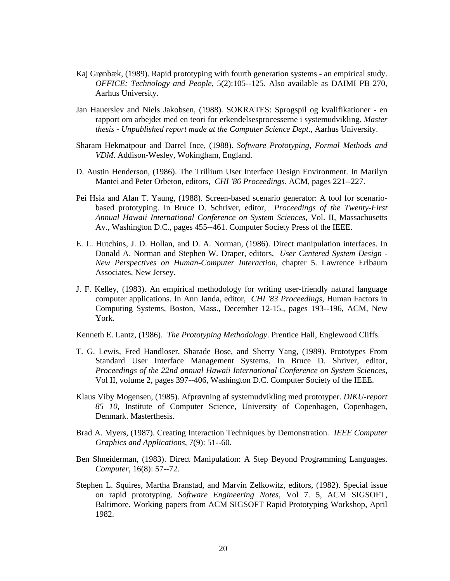- Kaj Grønbæk, (1989). Rapid prototyping with fourth generation systems an empirical study. *OFFICE: Technology and People*, 5(2):105--125. Also available as DAIMI PB 270, Aarhus University.
- Jan Hauerslev and Niels Jakobsen, (1988). SOKRATES: Sprogspil og kvalifikationer en rapport om arbejdet med en teori for erkendelsesprocesserne i systemudvikling. *Master thesis - Unpublished report made at the Computer Science Dept*., Aarhus University.
- Sharam Hekmatpour and Darrel Ince, (1988). *Software Prototyping, Formal Methods and VDM*. Addison-Wesley, Wokingham, England.
- D. Austin Henderson, (1986). The Trillium User Interface Design Environment. In Marilyn Mantei and Peter Orbeton, editors, *CHI '86 Proceedings*. ACM, pages 221--227.
- Pei Hsia and Alan T. Yaung, (1988). Screen-based scenario generator: A tool for scenariobased prototyping. In Bruce D. Schriver, editor, *Proceedings of the Twenty-First Annual Hawaii International Conference on System Sciences*, Vol. II, Massachusetts Av., Washington D.C., pages 455--461. Computer Society Press of the IEEE.
- E. L. Hutchins, J. D. Hollan, and D. A. Norman, (1986). Direct manipulation interfaces. In Donald A. Norman and Stephen W. Draper, editors, *User Centered System Design - New Perspectives on Human-Computer Interaction*, chapter 5. Lawrence Erlbaum Associates, New Jersey.
- J. F. Kelley, (1983). An empirical methodology for writing user-friendly natural language computer applications. In Ann Janda, editor, *CHI '83 Proceedings*, Human Factors in Computing Systems, Boston, Mass., December 12-15., pages 193--196, ACM, New York.

Kenneth E. Lantz, (1986). *The Prototyping Methodology*. Prentice Hall, Englewood Cliffs.

- T. G. Lewis, Fred Handloser, Sharade Bose, and Sherry Yang, (1989). Prototypes From Standard User Interface Management Systems. In Bruce D. Shriver, editor, *Proceedings of the 22nd annual Hawaii International Conference on System Sciences*, Vol II, volume 2, pages 397--406, Washington D.C. Computer Society of the IEEE.
- Klaus Viby Mogensen, (1985). Afprøvning af systemudvikling med prototyper. *DIKU-report 85 10*, Institute of Computer Science, University of Copenhagen, Copenhagen, Denmark. Masterthesis.
- Brad A. Myers, (1987). Creating Interaction Techniques by Demonstration. *IEEE Computer Graphics and Applications*, 7(9): 51--60.
- Ben Shneiderman, (1983). Direct Manipulation: A Step Beyond Programming Languages. *Computer*, 16(8): 57--72.
- Stephen L. Squires, Martha Branstad, and Marvin Zelkowitz, editors, (1982). Special issue on rapid prototyping. *Software Engineering Notes*, Vol 7. 5, ACM SIGSOFT, Baltimore. Working papers from ACM SIGSOFT Rapid Prototyping Workshop, April 1982.